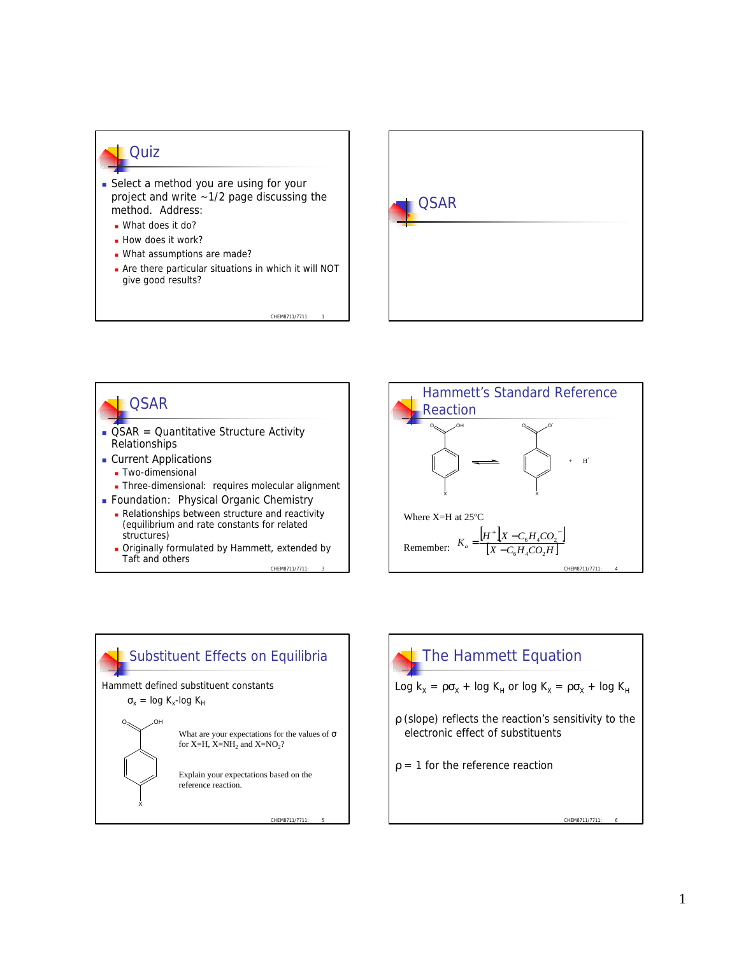## **Cuiz**

- **B** Select a method you are using for your project and write ~1/2 page discussing the method. Address:
	- **N** What does it do?
	- **How does it work?**
	- What assumptions are made?
	- **n** Are there particular situations in which it will NOT give good results?

CHEM8711/7711





CHEM8711/7711: 3 **n** Originally formulated by Hammett, extended by Taft and others







CHEM8711/7711: 6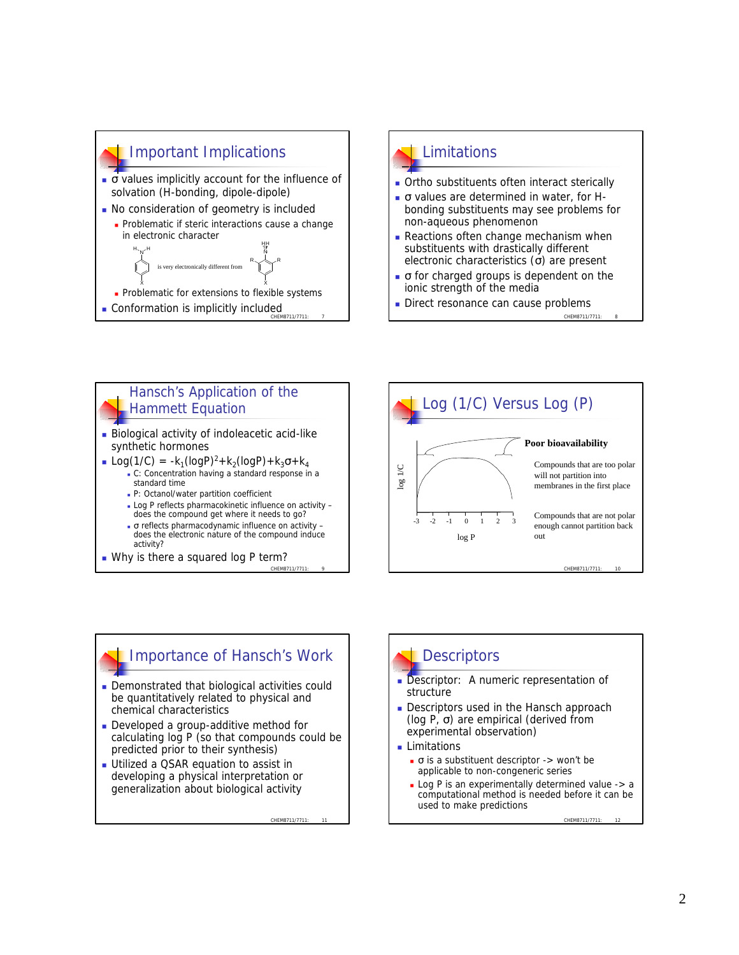



- **Ortho substituents often interact sterically**
- $\bullet$  σ values are determined in water, for Hbonding substituents may see problems for non-aqueous phenomenon
- **Reactions often change mechanism when** substituents with drastically different electronic characteristics  $(σ)$  are present
- $\bullet$   $\sigma$  for charged groups is dependent on the ionic strength of the media
- Direct resonance can cause problems

CHEM8711/7711: 8

#### Hansch's Application of the Hammett Equation

- **Biological activity of indoleacetic acid-like** synthetic hormones
- **n** Log(1/C) =  $-k_1$ (logP)<sup>2</sup>+ $k_2$ (logP)+ $k_3\sigma$ + $k_4$ <sup>n</sup> C: Concentration having a standard response in a standard time
	- <sup>n</sup> P: Octanol/water partition coefficient
	- Log P reflects pharmacokinetic influence on activity does the compound get where it needs to go?
	- $σ$  reflects pharmacodynamic influence on activity does the electronic nature of the compound induce activity?
- CHEM8711/7711: 9 • Why is there a squared log P term?



# Importance of Hansch's Work

- **Demonstrated that biological activities could** be quantitatively related to physical and chemical characteristics
- **Developed a group-additive method for** calculating log P (so that compounds could be predicted prior to their synthesis)
- **Utilized a QSAR equation to assist in** developing a physical interpretation or generalization about biological activity

CHEM8711/7711:

# **Descriptors**

- Descriptor: A numeric representation of structure
- **Descriptors used in the Hansch approach** (log P,  $\sigma$ ) are empirical (derived from experimental observation)
- **Limitations** 
	- $\bullet$  σ is a substituent descriptor  $\rightarrow$  won't be applicable to non-congeneric series
	- $\blacksquare$  Log P is an experimentally determined value -> a computational method is needed before it can be used to make predictions

CHEM8711/7711: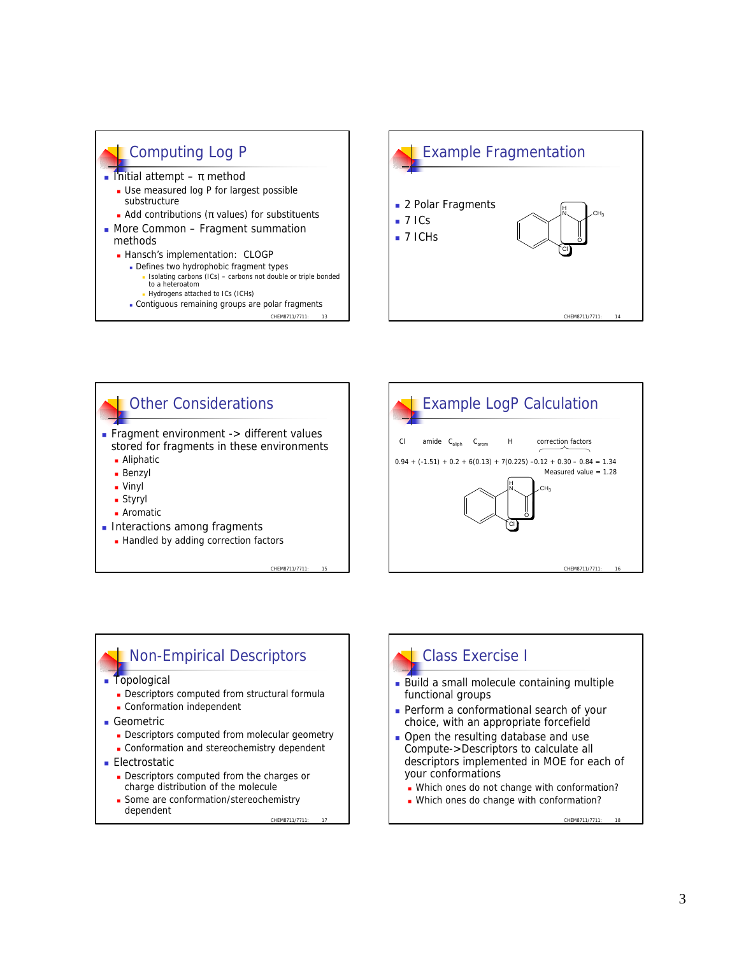









- **n** Topological
	- **Descriptors computed from structural formula**
	- **.** Conformation independent
- **n** Geometric
	- **Descriptors computed from molecular geometry**
	- **.** Conformation and stereochemistry dependent
- **Electrostatic** 
	- **Descriptors computed from the charges or** charge distribution of the molecule
	- CHEM8711/7711: **- Some are conformation/stereochemistry** dependent

# Class Exercise I

- Build a small molecule containing multiple functional groups
- **Perform a conformational search of your** choice, with an appropriate forcefield
- Open the resulting database and use Compute->Descriptors to calculate all descriptors implemented in MOE for each of your conformations
	- Which ones do not change with conformation?
	- Which ones do change with conformation?

CHEM8711/7711:

CHEM8711/7711

Measured value = 1.28

 $CH<sub>2</sub>$ 

O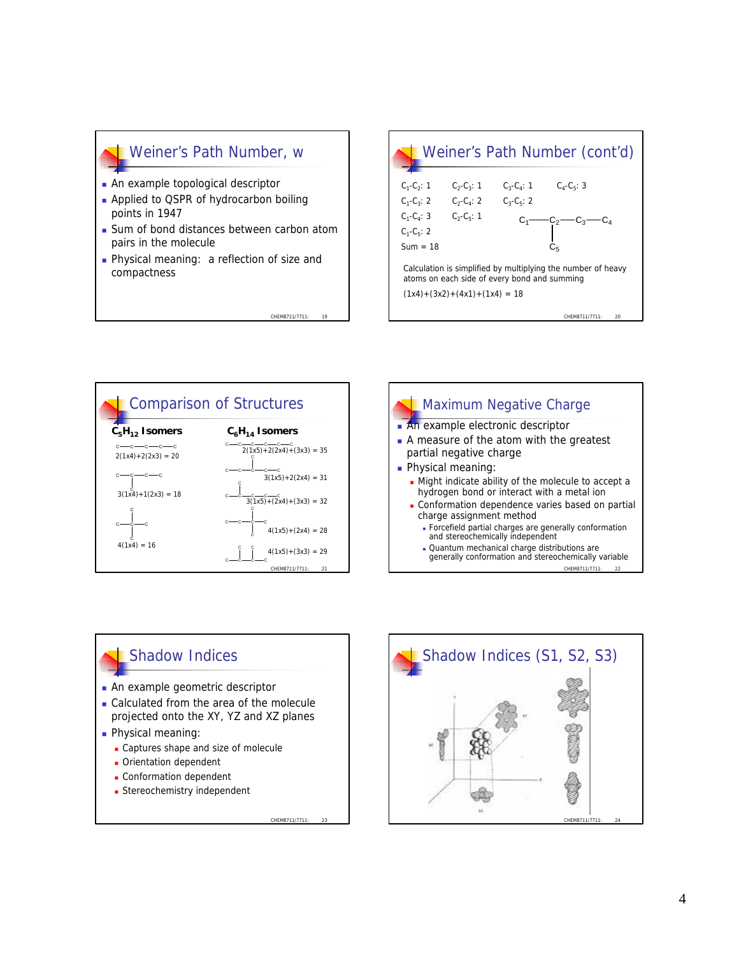## Weiner's Path Number, w

- An example topological descriptor
- **Applied to QSPR of hydrocarbon boiling** points in 1947
- Sum of bond distances between carbon atom pairs in the molecule

CHEM8711/7711

**Physical meaning: a reflection of size and** compactness







## Shadow Indices

- **n** An example geometric descriptor
- Calculated from the area of the molecule projected onto the XY, YZ and XZ planes

CHEM8711/7711: 23

- **Physical meaning:** 
	- Captures shape and size of molecule
	- **n** Orientation dependent
	- **.** Conformation dependent
	- **Exercicemistry independent**

CHEM8711/7711: 24 Shadow Indices (S1, S2, S3)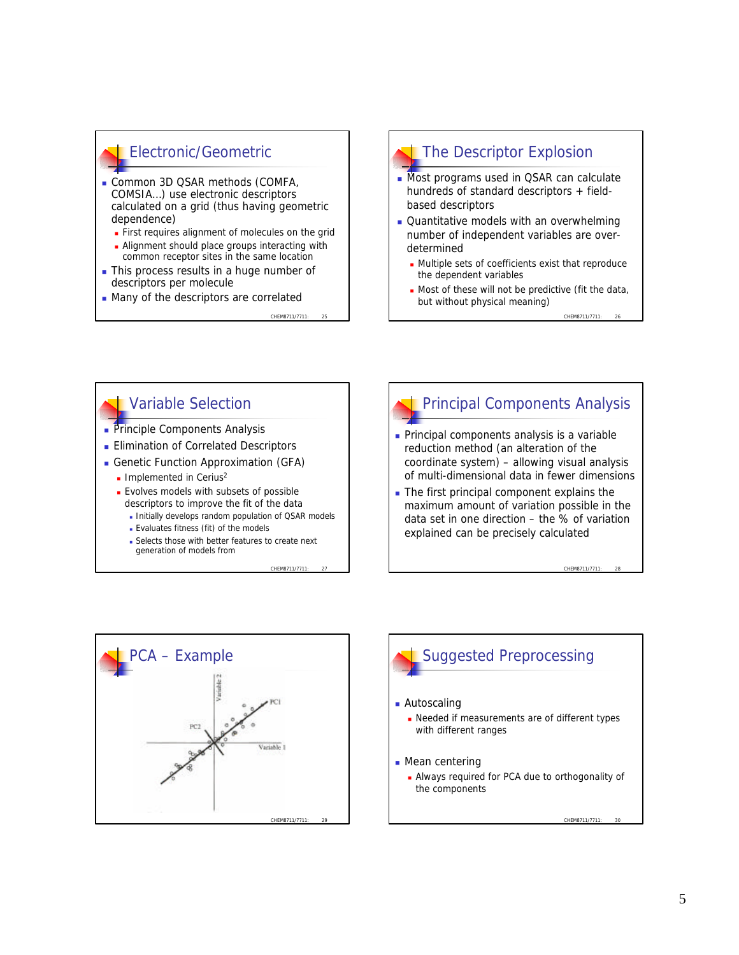# Electronic/Geometric

- **Common 3D QSAR methods (COMFA,** COMSIA…) use electronic descriptors calculated on a grid (thus having geometric dependence)
	- **First requires alignment of molecules on the grid**
	- Alignment should place groups interacting with common receptor sites in the same location
- This process results in a huge number of descriptors per molecule
- Many of the descriptors are correlated

CHEM8711/7711

CHEM8711/7711: 27

## The Descriptor Explosion

- **Nost programs used in QSAR can calculate** hundreds of standard descriptors + fieldbased descriptors
- **Quantitative models with an overwhelming** number of independent variables are overdetermined
	- **n** Multiple sets of coefficients exist that reproduce the dependent variables
	- $\blacksquare$  Most of these will not be predictive (fit the data, but without physical meaning)

CHEM8711/7711

CHEM8711/7711: 28

## Variable Selection

- **Principle Components Analysis**
- **Elimination of Correlated Descriptors**
- **Genetic Function Approximation (GFA)** 
	- $\blacksquare$  Implemented in Cerius<sup>2</sup>
	- **Evolves models with subsets of possible** descriptors to improve the fit of the data
		- Initially develops random population of QSAR models
		- <sup>n</sup> Evaluates fitness (fit) of the models
		- **Exercise Selects those with better features to create next** generation of models from

# Principal Components Analysis

- **Principal components analysis is a variable** reduction method (an alteration of the coordinate system) – allowing visual analysis of multi-dimensional data in fewer dimensions
- $\blacksquare$  The first principal component explains the maximum amount of variation possible in the data set in one direction – the % of variation explained can be precisely calculated